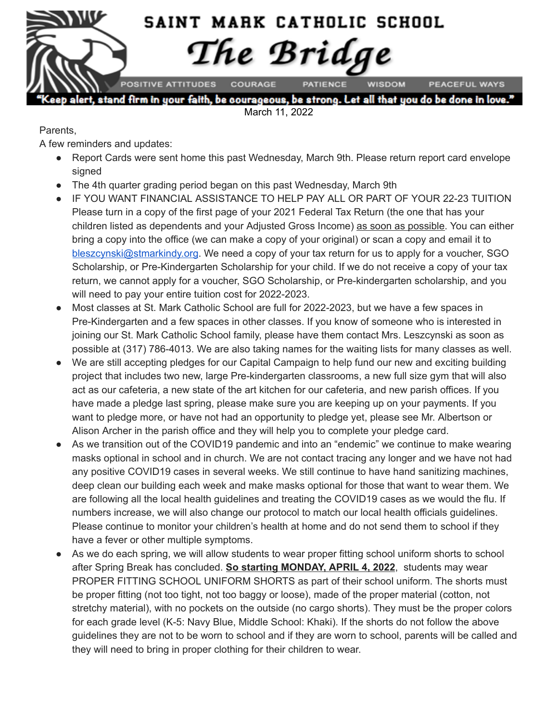

March 11, 2022

Parents,

A few reminders and updates:

- Report Cards were sent home this past Wednesday, March 9th. Please return report card envelope signed
- The 4th quarter grading period began on this past Wednesday, March 9th
- IF YOU WANT FINANCIAL ASSISTANCE TO HELP PAY ALL OR PART OF YOUR 22-23 TUITION Please turn in a copy of the first page of your 2021 Federal Tax Return (the one that has your children listed as dependents and your Adjusted Gross Income) as soon as possible. You can either bring a copy into the office (we can make a copy of your original) or scan a copy and email it to [bleszcynski@stmarkindy.org.](mailto:bleszcynski@stmarkindy.org) We need a copy of your tax return for us to apply for a voucher, SGO Scholarship, or Pre-Kindergarten Scholarship for your child. If we do not receive a copy of your tax return, we cannot apply for a voucher, SGO Scholarship, or Pre-kindergarten scholarship, and you will need to pay your entire tuition cost for 2022-2023.
- Most classes at St. Mark Catholic School are full for 2022-2023, but we have a few spaces in Pre-Kindergarten and a few spaces in other classes. If you know of someone who is interested in joining our St. Mark Catholic School family, please have them contact Mrs. Leszcynski as soon as possible at (317) 786-4013. We are also taking names for the waiting lists for many classes as well.
- We are still accepting pledges for our Capital Campaign to help fund our new and exciting building project that includes two new, large Pre-kindergarten classrooms, a new full size gym that will also act as our cafeteria, a new state of the art kitchen for our cafeteria, and new parish offices. If you have made a pledge last spring, please make sure you are keeping up on your payments. If you want to pledge more, or have not had an opportunity to pledge yet, please see Mr. Albertson or Alison Archer in the parish office and they will help you to complete your pledge card.
- As we transition out of the COVID19 pandemic and into an "endemic" we continue to make wearing masks optional in school and in church. We are not contact tracing any longer and we have not had any positive COVID19 cases in several weeks. We still continue to have hand sanitizing machines, deep clean our building each week and make masks optional for those that want to wear them. We are following all the local health guidelines and treating the COVID19 cases as we would the flu. If numbers increase, we will also change our protocol to match our local health officials guidelines. Please continue to monitor your children's health at home and do not send them to school if they have a fever or other multiple symptoms.
- As we do each spring, we will allow students to wear proper fitting school uniform shorts to school after Spring Break has concluded. **So starting MONDAY, APRIL 4, 2022**, students may wear PROPER FITTING SCHOOL UNIFORM SHORTS as part of their school uniform. The shorts must be proper fitting (not too tight, not too baggy or loose), made of the proper material (cotton, not stretchy material), with no pockets on the outside (no cargo shorts). They must be the proper colors for each grade level (K-5: Navy Blue, Middle School: Khaki). If the shorts do not follow the above guidelines they are not to be worn to school and if they are worn to school, parents will be called and they will need to bring in proper clothing for their children to wear.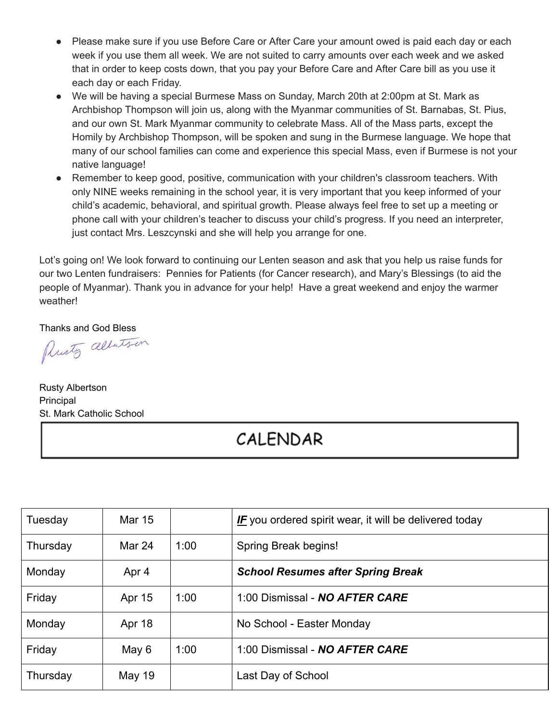- Please make sure if you use Before Care or After Care your amount owed is paid each day or each week if you use them all week. We are not suited to carry amounts over each week and we asked that in order to keep costs down, that you pay your Before Care and After Care bill as you use it each day or each Friday.
- We will be having a special Burmese Mass on Sunday, March 20th at 2:00pm at St. Mark as Archbishop Thompson will join us, along with the Myanmar communities of St. Barnabas, St. Pius, and our own St. Mark Myanmar community to celebrate Mass. All of the Mass parts, except the Homily by Archbishop Thompson, will be spoken and sung in the Burmese language. We hope that many of our school families can come and experience this special Mass, even if Burmese is not your native language!
- Remember to keep good, positive, communication with your children's classroom teachers. With only NINE weeks remaining in the school year, it is very important that you keep informed of your child's academic, behavioral, and spiritual growth. Please always feel free to set up a meeting or phone call with your children's teacher to discuss your child's progress. If you need an interpreter, just contact Mrs. Leszcynski and she will help you arrange for one.

Lot's going on! We look forward to continuing our Lenten season and ask that you help us raise funds for our two Lenten fundraisers: Pennies for Patients (for Cancer research), and Mary's Blessings (to aid the people of Myanmar). Thank you in advance for your help! Have a great weekend and enjoy the warmer weather!

Thanks and God Bless<br>Plusty alberts in

Rusty Albertson Principal St. Mark Catholic School

## CALENDAR

| Tuesday  | <b>Mar 15</b> |      | <b>IF</b> you ordered spirit wear, it will be delivered today |
|----------|---------------|------|---------------------------------------------------------------|
| Thursday | Mar 24        | 1:00 | Spring Break begins!                                          |
| Monday   | Apr 4         |      | <b>School Resumes after Spring Break</b>                      |
| Friday   | <b>Apr 15</b> | 1:00 | 1:00 Dismissal - NO AFTER CARE                                |
| Monday   | Apr 18        |      | No School - Easter Monday                                     |
| Friday   | May 6         | 1:00 | 1:00 Dismissal - NO AFTER CARE                                |
| Thursday | May 19        |      | Last Day of School                                            |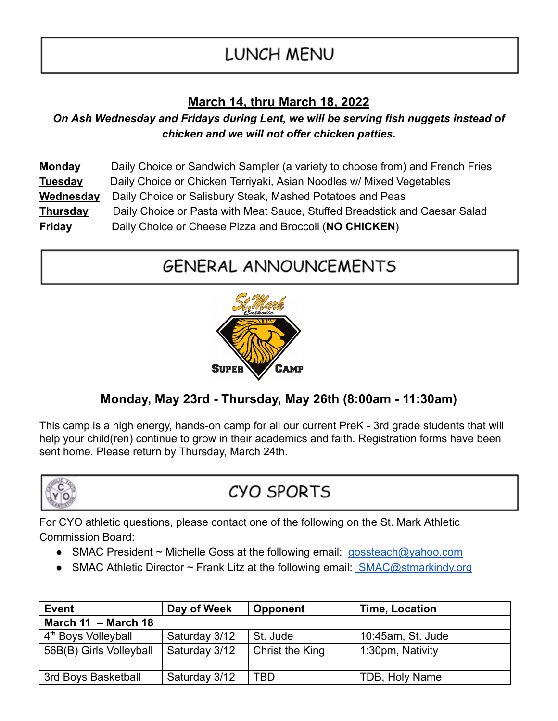# LUNCH MENU

### **March 14, thru March 18, 2022**

*On Ash Wednesday and Fridays during Lent, we will be serving fish nuggets instead of chicken and we will not offer chicken patties.*

| <b>Monday</b>   | Daily Choice or Sandwich Sampler (a variety to choose from) and French Fries |
|-----------------|------------------------------------------------------------------------------|
| <b>Tuesday</b>  | Daily Choice or Chicken Terriyaki, Asian Noodles w/ Mixed Vegetables         |
| Wednesday       | Daily Choice or Salisbury Steak, Mashed Potatoes and Peas                    |
| <b>Thursday</b> | Daily Choice or Pasta with Meat Sauce, Stuffed Breadstick and Caesar Salad   |
| <b>Friday</b>   | Daily Choice or Cheese Pizza and Broccoli (NO CHICKEN)                       |

## **GENERAL ANNOUNCEMENTS**



### **Monday, May 23rd - Thursday, May 26th (8:00am - 11:30am)**

This camp is a high energy, hands-on camp for all our current PreK - 3rd grade students that will help your child(ren) continue to grow in their academics and faith. Registration forms have been sent home. Please return by Thursday, March 24th.



## CYO SPORTS

For CYO athletic questions, please contact one of the following on the St. Mark Athletic Commission Board:

- SMAC President ~ Michelle Goss at the following email: [gossteach@yahoo.com](mailto:gossteach@yahoo.com)
- SMAC Athletic Director  $\sim$  Frank Litz at the following email: [SMAC@stmarkindy.org](mailto:SMAC@stmarkindy.org)

| <b>Event</b>                    | Day of Week   | <b>Opponent</b> | <b>Time, Location</b> |  |  |  |
|---------------------------------|---------------|-----------------|-----------------------|--|--|--|
| March $11 - \text{March } 18$   |               |                 |                       |  |  |  |
| 4 <sup>th</sup> Boys Volleyball | Saturday 3/12 | St. Jude        | 10:45am, St. Jude     |  |  |  |
| 56B(B) Girls Volleyball         | Saturday 3/12 | Christ the King | 1:30pm, Nativity      |  |  |  |
|                                 |               |                 |                       |  |  |  |
| 3rd Boys Basketball             | Saturday 3/12 | TBD             | TDB, Holy Name        |  |  |  |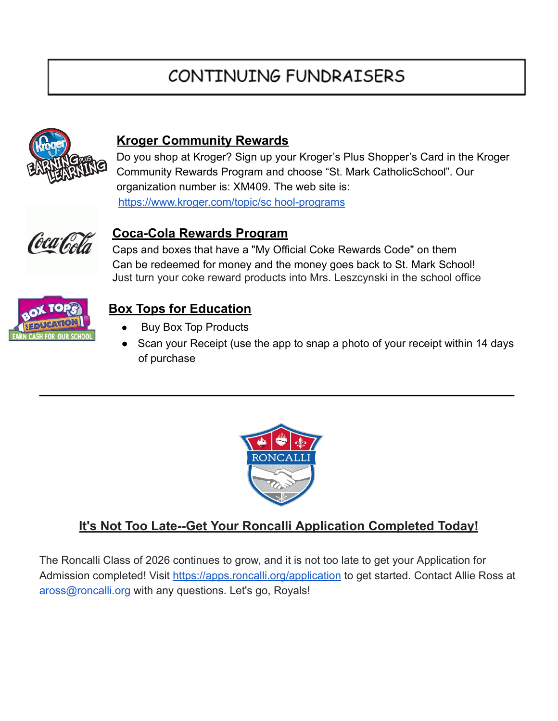## CONTINUING FUNDRAISERS



#### **Kroger Community Rewards**

Do you shop at Kroger? Sign up your Kroger's Plus Shopper's Card in the Kroger Community Rewards Program and choose "St. Mark CatholicSchool". Our organization number is: XM409. The web site is: [https://www.kroger.com/topic/sc hool-programs](https://www.kroger.com/topic/sc)



#### **Coca-Cola Rewards Program**

Caps and boxes that have a "My Official Coke Rewards Code" on them Can be redeemed for money and the money goes back to St. Mark School! Just turn your coke reward products into Mrs. Leszcynski in the school office



### **Box Tops for Education**

- **Buy Box Top Products**
- Scan your Receipt (use the app to snap a photo of your receipt within 14 days of purchase



**\_\_\_\_\_\_\_\_\_\_\_\_\_\_\_\_\_\_\_\_\_\_\_\_\_\_\_\_\_\_\_\_\_\_\_\_\_\_\_\_\_\_\_\_\_\_\_\_\_\_\_\_\_\_\_\_\_\_\_\_\_\_\_\_\_\_\_**

### **It's Not Too Late--Get Your Roncalli Application Completed Today!**

The Roncalli Class of 2026 continues to grow, and it is not too late to get your Application for Admission completed! Visit <https://apps.roncalli.org/application> to get started. Contact Allie Ross at aross@roncalli.org with any questions. Let's go, Royals!